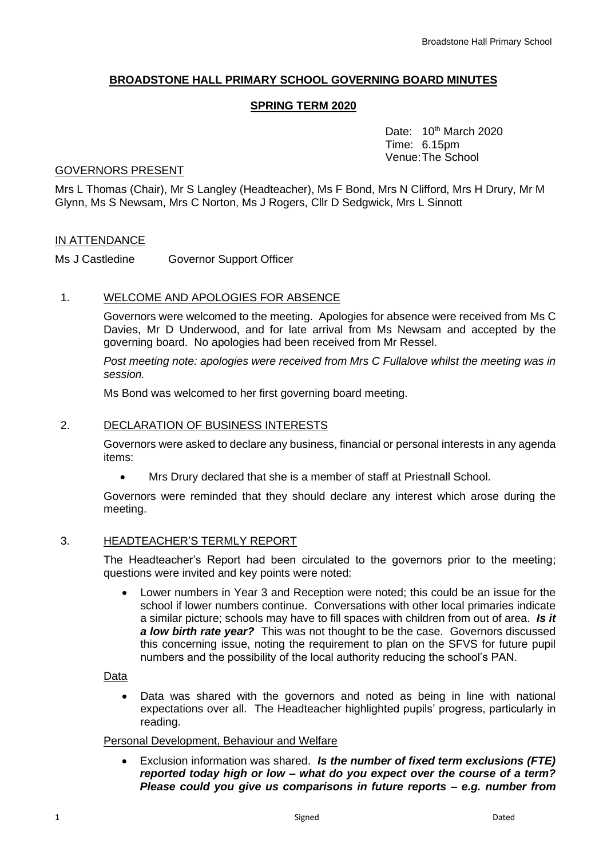## **BROADSTONE HALL PRIMARY SCHOOL GOVERNING BOARD MINUTES**

#### **SPRING TERM 2020**

Date: 10<sup>th</sup> March 2020 Time: 6.15pm Venue:The School

#### GOVERNORS PRESENT

Mrs L Thomas (Chair), Mr S Langley (Headteacher), Ms F Bond, Mrs N Clifford, Mrs H Drury, Mr M Glynn, Ms S Newsam, Mrs C Norton, Ms J Rogers, Cllr D Sedgwick, Mrs L Sinnott

#### IN ATTENDANCE

Ms J Castledine Governor Support Officer

#### 1. WELCOME AND APOLOGIES FOR ABSENCE

Governors were welcomed to the meeting. Apologies for absence were received from Ms C Davies, Mr D Underwood, and for late arrival from Ms Newsam and accepted by the governing board. No apologies had been received from Mr Ressel.

*Post meeting note: apologies were received from Mrs C Fullalove whilst the meeting was in session.* 

Ms Bond was welcomed to her first governing board meeting.

#### 2. DECLARATION OF BUSINESS INTERESTS

Governors were asked to declare any business, financial or personal interests in any agenda items:

• Mrs Drury declared that she is a member of staff at Priestnall School.

Governors were reminded that they should declare any interest which arose during the meeting.

## 3. HEADTEACHER'S TERMLY REPORT

The Headteacher's Report had been circulated to the governors prior to the meeting; questions were invited and key points were noted:

• Lower numbers in Year 3 and Reception were noted; this could be an issue for the school if lower numbers continue. Conversations with other local primaries indicate a similar picture; schools may have to fill spaces with children from out of area. *Is it a low birth rate year?* This was not thought to be the case. Governors discussed this concerning issue, noting the requirement to plan on the SFVS for future pupil numbers and the possibility of the local authority reducing the school's PAN.

Data

Data was shared with the governors and noted as being in line with national expectations over all. The Headteacher highlighted pupils' progress, particularly in reading.

#### Personal Development, Behaviour and Welfare

• Exclusion information was shared. *Is the number of fixed term exclusions (FTE) reported today high or low – what do you expect over the course of a term? Please could you give us comparisons in future reports – e.g. number from*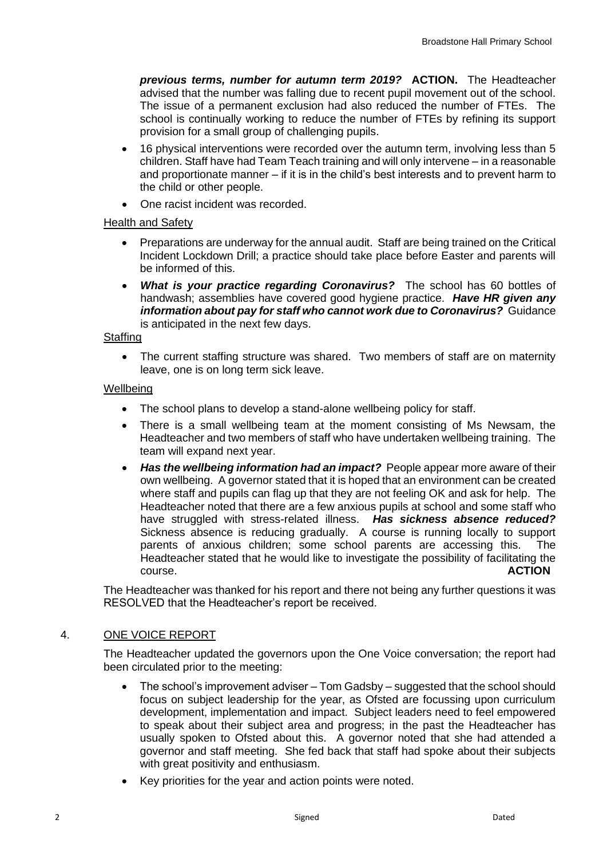*previous terms, number for autumn term 2019?* **ACTION.** The Headteacher advised that the number was falling due to recent pupil movement out of the school. The issue of a permanent exclusion had also reduced the number of FTEs. The school is continually working to reduce the number of FTEs by refining its support provision for a small group of challenging pupils.

- 16 physical interventions were recorded over the autumn term, involving less than 5 children. Staff have had Team Teach training and will only intervene – in a reasonable and proportionate manner  $-$  if it is in the child's best interests and to prevent harm to the child or other people.
- One racist incident was recorded.

## Health and Safety

- Preparations are underway for the annual audit. Staff are being trained on the Critical Incident Lockdown Drill; a practice should take place before Easter and parents will be informed of this.
- *What is your practice regarding Coronavirus?* The school has 60 bottles of handwash; assemblies have covered good hygiene practice. *Have HR given any information about pay for staff who cannot work due to Coronavirus?* Guidance is anticipated in the next few days.

## Staffing

• The current staffing structure was shared. Two members of staff are on maternity leave, one is on long term sick leave.

## **Wellbeing**

- The school plans to develop a stand-alone wellbeing policy for staff.
- There is a small wellbeing team at the moment consisting of Ms Newsam, the Headteacher and two members of staff who have undertaken wellbeing training. The team will expand next year.
- **Has the wellbeing information had an impact?** People appear more aware of their own wellbeing. A governor stated that it is hoped that an environment can be created where staff and pupils can flag up that they are not feeling OK and ask for help. The Headteacher noted that there are a few anxious pupils at school and some staff who have struggled with stress-related illness. *Has sickness absence reduced?*  Sickness absence is reducing gradually. A course is running locally to support parents of anxious children; some school parents are accessing this. The Headteacher stated that he would like to investigate the possibility of facilitating the course. **ACTION**

The Headteacher was thanked for his report and there not being any further questions it was RESOLVED that the Headteacher's report be received.

# 4. ONE VOICE REPORT

The Headteacher updated the governors upon the One Voice conversation; the report had been circulated prior to the meeting:

- The school's improvement adviser Tom Gadsby suggested that the school should focus on subject leadership for the year, as Ofsted are focussing upon curriculum development, implementation and impact. Subject leaders need to feel empowered to speak about their subject area and progress; in the past the Headteacher has usually spoken to Ofsted about this. A governor noted that she had attended a governor and staff meeting. She fed back that staff had spoke about their subjects with great positivity and enthusiasm.
- Key priorities for the year and action points were noted.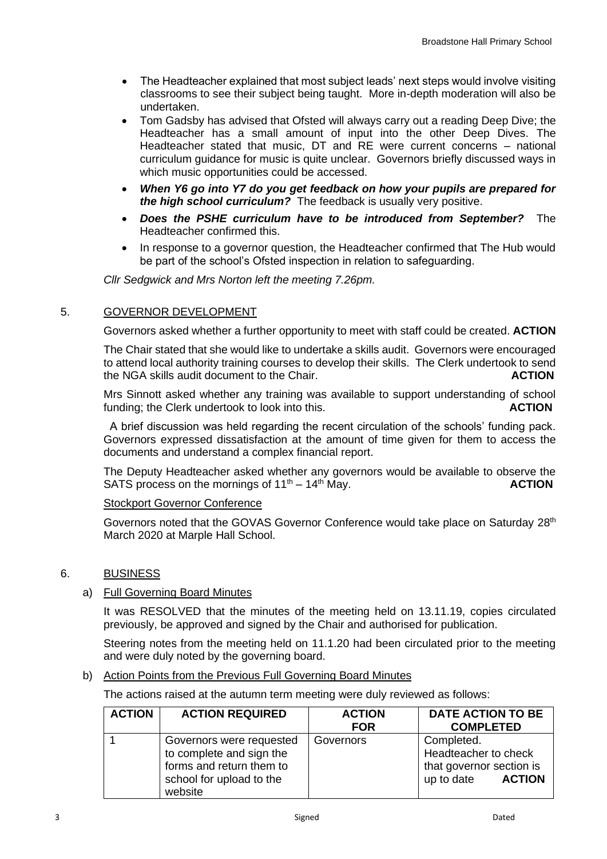- The Headteacher explained that most subject leads' next steps would involve visiting classrooms to see their subject being taught. More in-depth moderation will also be undertaken.
- Tom Gadsby has advised that Ofsted will always carry out a reading Deep Dive; the Headteacher has a small amount of input into the other Deep Dives. The Headteacher stated that music, DT and RE were current concerns – national curriculum guidance for music is quite unclear. Governors briefly discussed ways in which music opportunities could be accessed.
- *When Y6 go into Y7 do you get feedback on how your pupils are prepared for the high school curriculum?* The feedback is usually very positive.
- *Does the PSHE curriculum have to be introduced from September?* The Headteacher confirmed this.
- In response to a governor question, the Headteacher confirmed that The Hub would be part of the school's Ofsted inspection in relation to safeguarding.

*Cllr Sedgwick and Mrs Norton left the meeting 7.26pm.* 

## 5. GOVERNOR DEVELOPMENT

Governors asked whether a further opportunity to meet with staff could be created. **ACTION**

The Chair stated that she would like to undertake a skills audit. Governors were encouraged to attend local authority training courses to develop their skills. The Clerk undertook to send the NGA skills audit document to the Chair. **ACTION**

Mrs Sinnott asked whether any training was available to support understanding of school funding; the Clerk undertook to look into this. **ACTION**

A brief discussion was held regarding the recent circulation of the schools' funding pack. Governors expressed dissatisfaction at the amount of time given for them to access the documents and understand a complex financial report.

The Deputy Headteacher asked whether any governors would be available to observe the SATS process on the mornings of  $11<sup>th</sup> - 14<sup>th</sup>$  May. **ACTION** 

## Stockport Governor Conference

Governors noted that the GOVAS Governor Conference would take place on Saturday 28<sup>th</sup> March 2020 at Marple Hall School.

## 6. BUSINESS

## a) Full Governing Board Minutes

It was RESOLVED that the minutes of the meeting held on 13.11.19, copies circulated previously, be approved and signed by the Chair and authorised for publication.

Steering notes from the meeting held on 11.1.20 had been circulated prior to the meeting and were duly noted by the governing board.

## b) Action Points from the Previous Full Governing Board Minutes

The actions raised at the autumn term meeting were duly reviewed as follows:

| <b>ACTION</b> | <b>ACTION REQUIRED</b>                                                                                                  | <b>ACTION</b> | <b>DATE ACTION TO BE</b>                                                                      |
|---------------|-------------------------------------------------------------------------------------------------------------------------|---------------|-----------------------------------------------------------------------------------------------|
|               |                                                                                                                         | <b>FOR</b>    | <b>COMPLETED</b>                                                                              |
|               | Governors were requested<br>to complete and sign the<br>forms and return them to<br>school for upload to the<br>website | Governors     | Completed.<br>Headteacher to check<br>that governor section is<br>up to date<br><b>ACTION</b> |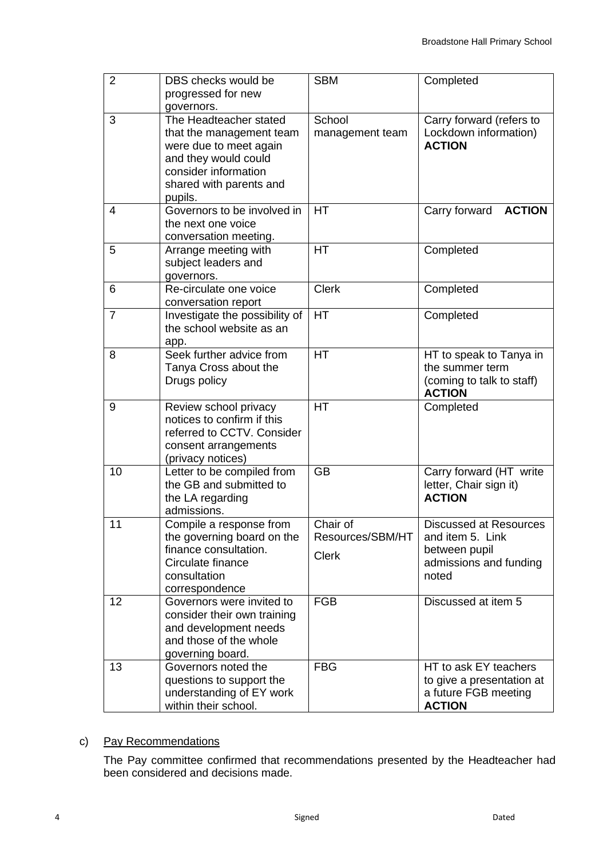| $\overline{2}$ | DBS checks would be<br>progressed for new<br>governors.                                                                                                            | <b>SBM</b>                                   | Completed                                                                                             |
|----------------|--------------------------------------------------------------------------------------------------------------------------------------------------------------------|----------------------------------------------|-------------------------------------------------------------------------------------------------------|
| 3              | The Headteacher stated<br>that the management team<br>were due to meet again<br>and they would could<br>consider information<br>shared with parents and<br>pupils. | School<br>management team                    | Carry forward (refers to<br>Lockdown information)<br><b>ACTION</b>                                    |
| $\overline{4}$ | Governors to be involved in<br>the next one voice<br>conversation meeting.                                                                                         | <b>HT</b>                                    | <b>ACTION</b><br>Carry forward                                                                        |
| 5              | Arrange meeting with<br>subject leaders and<br>governors.                                                                                                          | HT                                           | Completed                                                                                             |
| 6              | Re-circulate one voice<br>conversation report                                                                                                                      | <b>Clerk</b>                                 | Completed                                                                                             |
| $\overline{7}$ | Investigate the possibility of<br>the school website as an<br>app.                                                                                                 | <b>HT</b>                                    | Completed                                                                                             |
| 8              | Seek further advice from<br>Tanya Cross about the<br>Drugs policy                                                                                                  | <b>HT</b>                                    | HT to speak to Tanya in<br>the summer term<br>(coming to talk to staff)<br><b>ACTION</b>              |
| 9              | Review school privacy<br>notices to confirm if this<br>referred to CCTV. Consider<br>consent arrangements<br>(privacy notices)                                     | HT                                           | Completed                                                                                             |
| 10             | Letter to be compiled from<br>the GB and submitted to<br>the LA regarding<br>admissions.                                                                           | <b>GB</b>                                    | Carry forward (HT write<br>letter, Chair sign it)<br><b>ACTION</b>                                    |
| 11             | Compile a response from<br>the governing board on the<br>finance consultation.<br>Circulate finance<br>consultation<br>correspondence                              | Chair of<br>Resources/SBM/HT<br><b>Clerk</b> | <b>Discussed at Resources</b><br>and item 5. Link<br>between pupil<br>admissions and funding<br>noted |
| 12             | Governors were invited to<br>consider their own training<br>and development needs<br>and those of the whole<br>governing board.                                    | <b>FGB</b>                                   | Discussed at item 5                                                                                   |
| 13             | Governors noted the<br>questions to support the<br>understanding of EY work<br>within their school.                                                                | <b>FBG</b>                                   | HT to ask EY teachers<br>to give a presentation at<br>a future FGB meeting<br><b>ACTION</b>           |

# c) Pay Recommendations

The Pay committee confirmed that recommendations presented by the Headteacher had been considered and decisions made.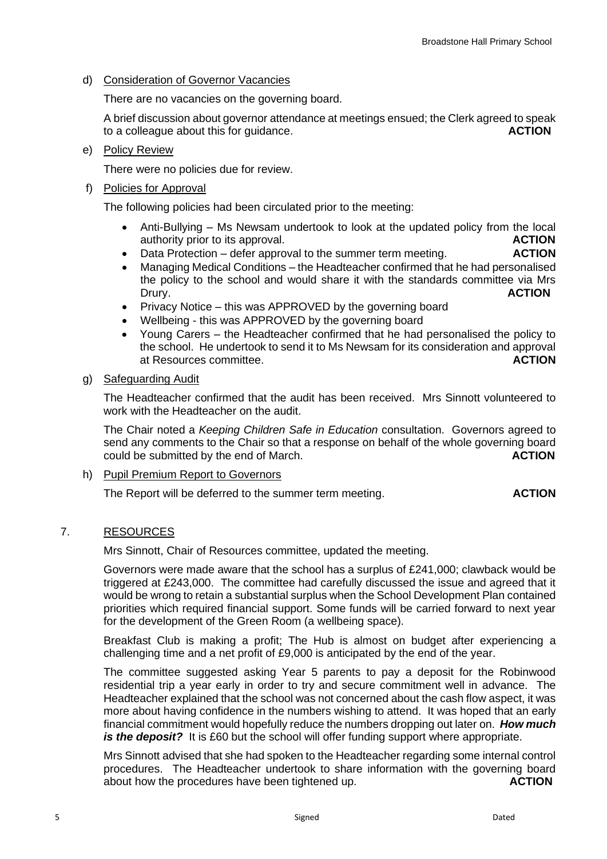d) Consideration of Governor Vacancies

There are no vacancies on the governing board.

A brief discussion about governor attendance at meetings ensued; the Clerk agreed to speak to a colleague about this for guidance. **ACTION**

e) Policy Review

There were no policies due for review.

f) Policies for Approval

The following policies had been circulated prior to the meeting:

- Anti-Bullying Ms Newsam undertook to look at the updated policy from the local authority prior to its approval. **ACTION**
- Data Protection defer approval to the summer term meeting. **ACTION**
- Managing Medical Conditions the Headteacher confirmed that he had personalised the policy to the school and would share it with the standards committee via Mrs Drury. **ACTION**
- Privacy Notice this was APPROVED by the governing board
- Wellbeing this was APPROVED by the governing board
- Young Carers the Headteacher confirmed that he had personalised the policy to the school. He undertook to send it to Ms Newsam for its consideration and approval at Resources committee. **ACTION**

## g) Safeguarding Audit

The Headteacher confirmed that the audit has been received. Mrs Sinnott volunteered to work with the Headteacher on the audit.

The Chair noted a *Keeping Children Safe in Education* consultation. Governors agreed to send any comments to the Chair so that a response on behalf of the whole governing board could be submitted by the end of March. **ACTION**

h) Pupil Premium Report to Governors

The Report will be deferred to the summer term meeting. **ACTION**

## 7. RESOURCES

Mrs Sinnott, Chair of Resources committee, updated the meeting.

Governors were made aware that the school has a surplus of £241,000; clawback would be triggered at £243,000. The committee had carefully discussed the issue and agreed that it would be wrong to retain a substantial surplus when the School Development Plan contained priorities which required financial support. Some funds will be carried forward to next year for the development of the Green Room (a wellbeing space).

Breakfast Club is making a profit; The Hub is almost on budget after experiencing a challenging time and a net profit of £9,000 is anticipated by the end of the year.

The committee suggested asking Year 5 parents to pay a deposit for the Robinwood residential trip a year early in order to try and secure commitment well in advance. The Headteacher explained that the school was not concerned about the cash flow aspect, it was more about having confidence in the numbers wishing to attend. It was hoped that an early financial commitment would hopefully reduce the numbers dropping out later on. *How much is the deposit?* It is £60 but the school will offer funding support where appropriate.

Mrs Sinnott advised that she had spoken to the Headteacher regarding some internal control procedures. The Headteacher undertook to share information with the governing board about how the procedures have been tightened up. **ACTION**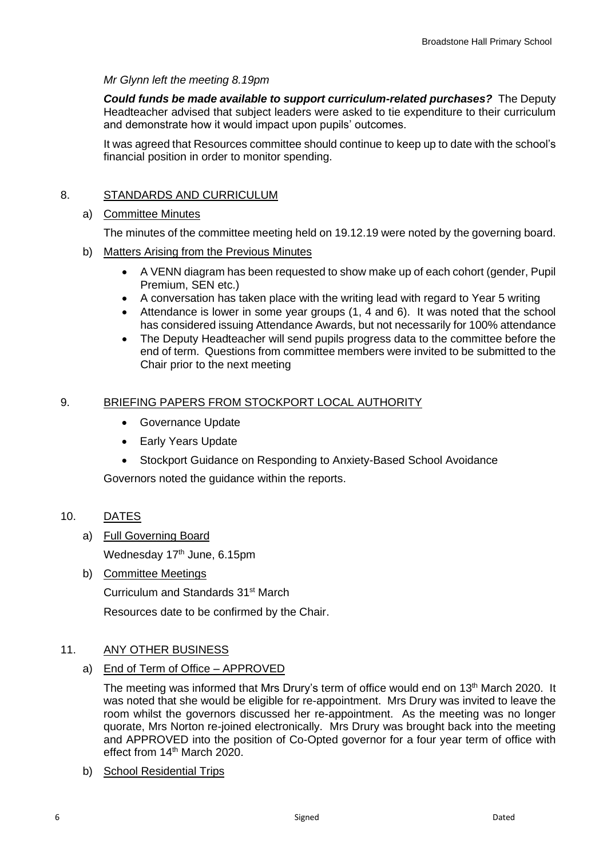## *Mr Glynn left the meeting 8.19pm*

*Could funds be made available to support curriculum-related purchases?* The Deputy Headteacher advised that subject leaders were asked to tie expenditure to their curriculum and demonstrate how it would impact upon pupils' outcomes.

It was agreed that Resources committee should continue to keep up to date with the school's financial position in order to monitor spending.

# 8. STANDARDS AND CURRICULUM

## a) Committee Minutes

The minutes of the committee meeting held on 19.12.19 were noted by the governing board.

- b) Matters Arising from the Previous Minutes
	- A VENN diagram has been requested to show make up of each cohort (gender, Pupil Premium, SEN etc.)
	- A conversation has taken place with the writing lead with regard to Year 5 writing
	- Attendance is lower in some year groups (1, 4 and 6). It was noted that the school has considered issuing Attendance Awards, but not necessarily for 100% attendance
	- The Deputy Headteacher will send pupils progress data to the committee before the end of term. Questions from committee members were invited to be submitted to the Chair prior to the next meeting

# 9. BRIEFING PAPERS FROM STOCKPORT LOCAL AUTHORITY

- Governance Update
- Early Years Update
- Stockport Guidance on Responding to Anxiety-Based School Avoidance

Governors noted the guidance within the reports.

# 10. DATES

a) Full Governing Board

Wednesday 17<sup>th</sup> June, 6.15pm

b) Committee Meetings

Curriculum and Standards 31st March

Resources date to be confirmed by the Chair.

# 11. ANY OTHER BUSINESS

a) End of Term of Office – APPROVED

The meeting was informed that Mrs Drury's term of office would end on 13<sup>th</sup> March 2020. It was noted that she would be eligible for re-appointment. Mrs Drury was invited to leave the room whilst the governors discussed her re-appointment. As the meeting was no longer quorate, Mrs Norton re-joined electronically. Mrs Drury was brought back into the meeting and APPROVED into the position of Co-Opted governor for a four year term of office with effect from 14<sup>th</sup> March 2020.

b) School Residential Trips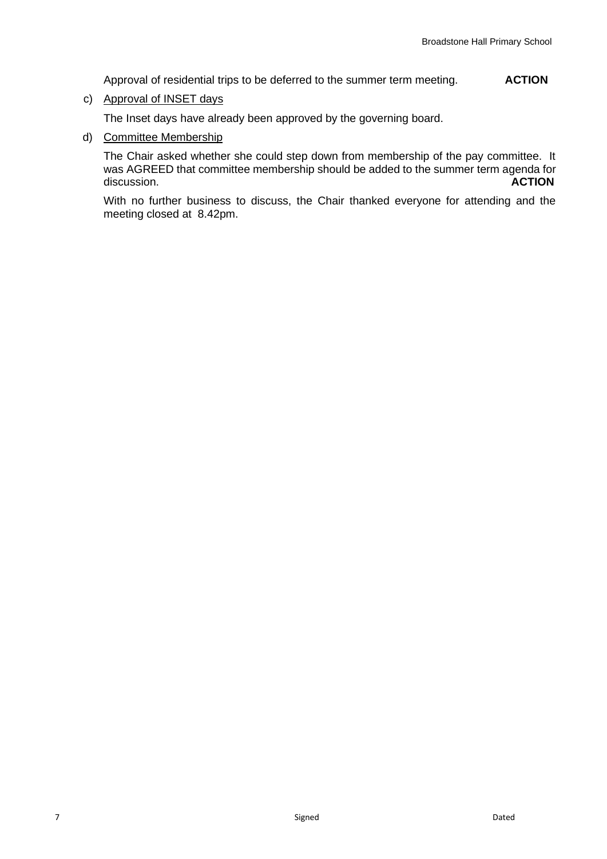Approval of residential trips to be deferred to the summer term meeting. **ACTION**

c) Approval of INSET days

The Inset days have already been approved by the governing board.

d) Committee Membership

The Chair asked whether she could step down from membership of the pay committee. It was AGREED that committee membership should be added to the summer term agenda for discussion. **ACTION**

With no further business to discuss, the Chair thanked everyone for attending and the meeting closed at 8.42pm.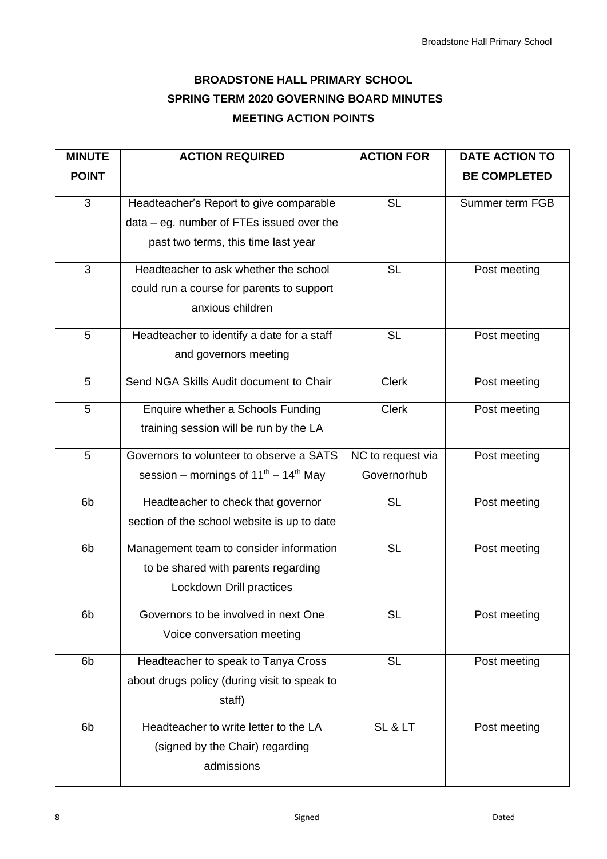# **BROADSTONE HALL PRIMARY SCHOOL SPRING TERM 2020 GOVERNING BOARD MINUTES MEETING ACTION POINTS**

| <b>MINUTE</b>  | <b>ACTION REQUIRED</b>                          | <b>ACTION FOR</b> | <b>DATE ACTION TO</b> |
|----------------|-------------------------------------------------|-------------------|-----------------------|
| <b>POINT</b>   |                                                 |                   | <b>BE COMPLETED</b>   |
| 3              | Headteacher's Report to give comparable         | <b>SL</b>         | Summer term FGB       |
|                | $data - eg.$ number of FTEs issued over the     |                   |                       |
|                | past two terms, this time last year             |                   |                       |
| 3              | Headteacher to ask whether the school           | <b>SL</b>         | Post meeting          |
|                | could run a course for parents to support       |                   |                       |
|                | anxious children                                |                   |                       |
| 5              | Headteacher to identify a date for a staff      | <b>SL</b>         | Post meeting          |
|                | and governors meeting                           |                   |                       |
| 5              | Send NGA Skills Audit document to Chair         | <b>Clerk</b>      | Post meeting          |
| 5              | Enquire whether a Schools Funding               | <b>Clerk</b>      | Post meeting          |
|                | training session will be run by the LA          |                   |                       |
| 5              | Governors to volunteer to observe a SATS        | NC to request via | Post meeting          |
|                | session – mornings of $11^{th}$ – $14^{th}$ May | Governorhub       |                       |
| 6 <sub>b</sub> | Headteacher to check that governor              | <b>SL</b>         | Post meeting          |
|                | section of the school website is up to date     |                   |                       |
| 6b             | Management team to consider information         | <b>SL</b>         | Post meeting          |
|                | to be shared with parents regarding             |                   |                       |
|                | Lockdown Drill practices                        |                   |                       |
| 6b             | Governors to be involved in next One            | <b>SL</b>         | Post meeting          |
|                | Voice conversation meeting                      |                   |                       |
| 6 <sub>b</sub> | Headteacher to speak to Tanya Cross             | <b>SL</b>         | Post meeting          |
|                | about drugs policy (during visit to speak to    |                   |                       |
|                | staff)                                          |                   |                       |
| 6b             | Headteacher to write letter to the LA           | SL & LT           | Post meeting          |
|                | (signed by the Chair) regarding                 |                   |                       |
|                | admissions                                      |                   |                       |
|                |                                                 |                   |                       |